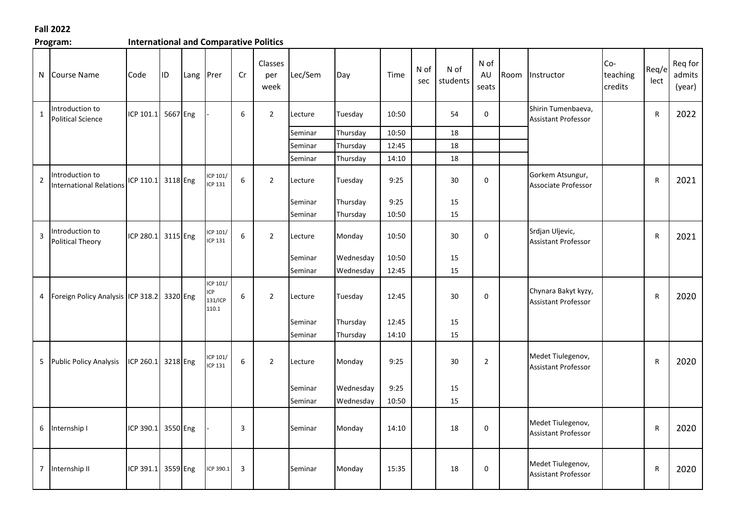## **Fall 2022**

| Program:     |                                                   | <b>International and Comparative Politics</b> |           |           |                                           |    |                        |         |           |       |             |                  |                     |      |                                                   |                              |               |                             |
|--------------|---------------------------------------------------|-----------------------------------------------|-----------|-----------|-------------------------------------------|----|------------------------|---------|-----------|-------|-------------|------------------|---------------------|------|---------------------------------------------------|------------------------------|---------------|-----------------------------|
| N            | Course Name                                       | Code                                          | <b>ID</b> | Lang Prer |                                           | Cr | Classes<br>per<br>week | Lec/Sem | Day       | Time  | N of<br>sec | N of<br>students | N of<br>AU<br>seats | Room | Instructor                                        | $Co-$<br>teaching<br>credits | Req/e<br>lect | Reg for<br>admits<br>(year) |
| $\mathbf{1}$ | Introduction to<br>Political Science              | ICP 101.1                                     | 5667 Eng  |           |                                           | 6  | $\overline{2}$         | Lecture | Tuesday   | 10:50 |             | 54               | $\pmb{0}$           |      | Shirin Tumenbaeva,<br><b>Assistant Professor</b>  |                              | ${\sf R}$     | 2022                        |
|              |                                                   |                                               |           |           |                                           |    |                        | Seminar | Thursday  | 10:50 |             | 18               |                     |      |                                                   |                              |               |                             |
|              |                                                   |                                               |           |           |                                           |    |                        | Seminar | Thursday  | 12:45 |             | 18               |                     |      |                                                   |                              |               |                             |
|              |                                                   |                                               |           |           |                                           |    |                        | Seminar | Thursday  | 14:10 |             | 18               |                     |      |                                                   |                              |               |                             |
| $\mathbf 2$  | Introduction to<br><b>International Relations</b> | ICP 110.1 3118 Eng                            |           |           | ICP 101/<br><b>ICP 131</b>                | 6  | $\overline{2}$         | Lecture | Tuesday   | 9:25  |             | 30               | $\mathbf 0$         |      | Gorkem Atsungur,<br>Associate Professor           |                              | $\mathsf{R}$  | 2021                        |
|              |                                                   |                                               |           |           |                                           |    |                        | Seminar | Thursday  | 9:25  |             | 15               |                     |      |                                                   |                              |               |                             |
|              |                                                   |                                               |           |           |                                           |    |                        | Seminar | Thursday  | 10:50 |             | 15               |                     |      |                                                   |                              |               |                             |
| 3            | Introduction to<br>Political Theory               | ICP 280.1                                     | 3115 Eng  |           | ICP 101/<br>ICP 131                       | 6  | $\overline{2}$         | Lecture | Monday    | 10:50 |             | 30               | $\mathbf 0$         |      | Srdjan Uljevic,<br><b>Assistant Professor</b>     |                              | $\mathsf{R}$  | 2021                        |
|              |                                                   |                                               |           |           |                                           |    |                        | Seminar | Wednesday | 10:50 |             | 15               |                     |      |                                                   |                              |               |                             |
|              |                                                   |                                               |           |           |                                           |    |                        | Seminar | Wednesday | 12:45 |             | 15               |                     |      |                                                   |                              |               |                             |
| 4            | Foreign Policy Analysis ICP 318.2 3320 Eng        |                                               |           |           | ICP 101/<br><b>CP</b><br>131/ICP<br>110.1 | 6  | $\overline{2}$         | Lecture | Tuesday   | 12:45 |             | 30               | $\pmb{0}$           |      | Chynara Bakyt kyzy,<br><b>Assistant Professor</b> |                              | $\mathsf{R}$  | 2020                        |
|              |                                                   |                                               |           |           |                                           |    |                        | Seminar | Thursday  | 12:45 |             | 15               |                     |      |                                                   |                              |               |                             |
|              |                                                   |                                               |           |           |                                           |    |                        | Seminar | Thursday  | 14:10 |             | 15               |                     |      |                                                   |                              |               |                             |
|              | 5 Public Policy Analysis                          | ICP 260.1                                     | 3218 Eng  |           | ICP 101/<br><b>ICP 131</b>                | 6  | $\overline{2}$         | Lecture | Monday    | 9:25  |             | 30               | $\overline{2}$      |      | Medet Tiulegenov,<br><b>Assistant Professor</b>   |                              | $\mathsf{R}$  | 2020                        |
|              |                                                   |                                               |           |           |                                           |    |                        | Seminar | Wednesday | 9:25  |             | 15               |                     |      |                                                   |                              |               |                             |
|              |                                                   |                                               |           |           |                                           |    |                        | Seminar | Wednesday | 10:50 |             | 15               |                     |      |                                                   |                              |               |                             |
|              | 6 Internship I                                    | ICP 390.1                                     | 3550 Eng  |           |                                           | 3  |                        | Seminar | Monday    | 14:10 |             | 18               | $\pmb{0}$           |      | Medet Tiulegenov,<br>Assistant Professor          |                              | $\mathsf{R}$  | 2020                        |
|              | 7 Internship II                                   | ICP 391.1                                     | 3559 Eng  |           | ICP 390.1                                 | 3  |                        | Seminar | Monday    | 15:35 |             | 18               | 0                   |      | Medet Tiulegenov,<br><b>Assistant Professor</b>   |                              | R             | 2020                        |